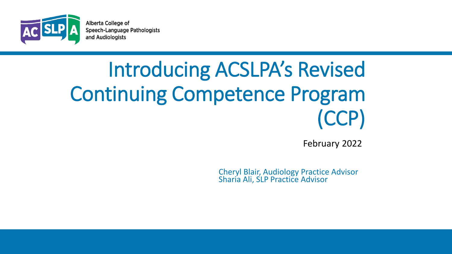

Alberta College of Speech-Language Pathologists and Audiologists

## Introducing ACSLPA's Revised Continuing Competence Program (CCP)

February 2022

Cheryl Blair, Audiology Practice Advisor Sharia Ali, SLP Practice Advisor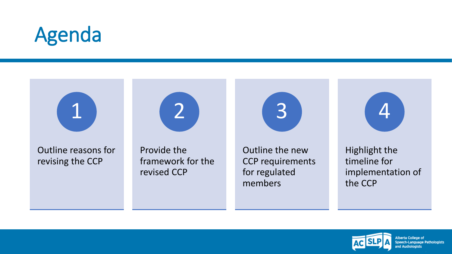## Agenda



Outline reasons for revising the CCP

Provide the framework for the revised CCP

2

Outline the new CCP requirements for regulated members

3

4

Highlight the timeline for implementation of the CCP

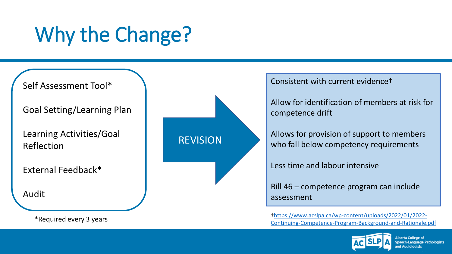# Why the Change?

\*Required every 3 years



[†https://www.acslpa.ca/wp-content/uploads/2022/01/2022-](https://www.acslpa.ca/wp-content/uploads/2022/01/2022-Continuing-Competence-Program-Background-and-Rationale.pdf) Continuing-Competence-Program-Background-and-Rationale.pdf

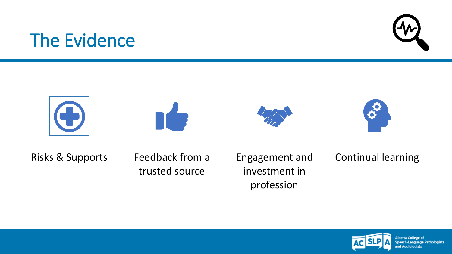#### The Evidence











Risks & Supports Feedback from a

trusted source

Engagement and investment in profession

Continual learning



Alberta College of Speech-Language Pathologists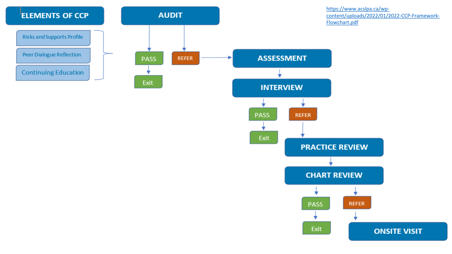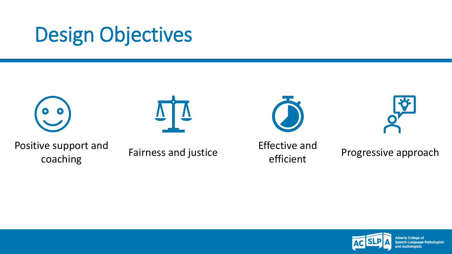## Design Objectives





Positive support and ve support and Fairness and justice Effective and<br>coaching efficient



Progressive approach

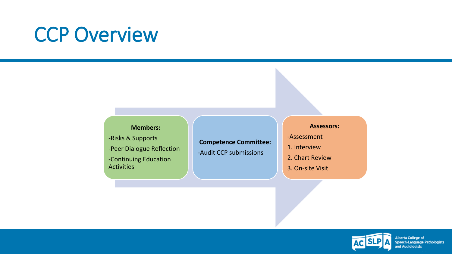### **CCP Overview**

#### **Members:**

-Risks & Supports -Peer Dialogue Reflection -Continuing Education **Activities** 

#### **Competence Committee:**

-Audit CCP submissions

#### **Assessors:**

- -Assessment
- 1. Interview
- 2. Chart Review
- 3. On-site Visit

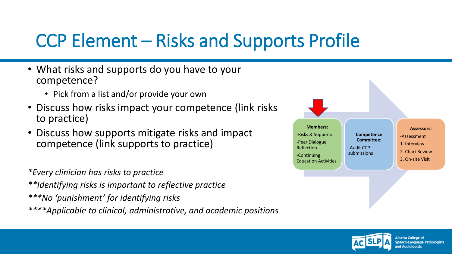### CCP Element – Risks and Supports Profile

- What risks and supports do you have to your competence?
	- Pick from a list and/or provide your own
- Discuss how risks impact your competence (link risks to practice)
- Discuss how supports mitigate risks and impact competence (link supports to practice)

*\*Every clinician has risks to practice \*\*Identifying risks is important to reflective practice \*\*\*No 'punishment' for identifying risks \*\*\*\*Applicable to clinical, administrative, and academic positions* 



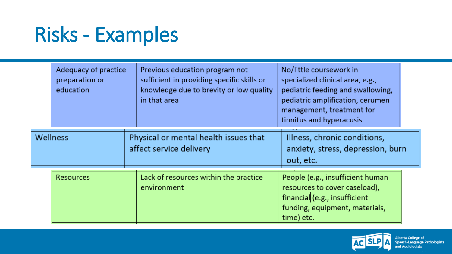## Risks - Examples

|                 | Adequacy of practice<br>preparation or<br>education |  | Previous education program not<br>sufficient in providing specific skills or<br>knowledge due to brevity or low quality<br>in that area | No/little coursework in<br>specialized clinical area, e.g.,<br>pediatric feeding and swallowing,<br>pediatric amplification, cerumen<br>management, treatment for<br>tinnitus and hyperacusis |  |
|-----------------|-----------------------------------------------------|--|-----------------------------------------------------------------------------------------------------------------------------------------|-----------------------------------------------------------------------------------------------------------------------------------------------------------------------------------------------|--|
| <b>Nellness</b> |                                                     |  | Physical or mental health issues that<br>affect service delivery                                                                        | Illness, chronic conditions,<br>anxiety, stress, depression, burn<br>out, etc.                                                                                                                |  |
|                 | Resources                                           |  | Lack of resources within the practice<br>environment                                                                                    | People (e.g., insufficient human<br>resources to cover caseload),<br>financial (e.g., insufficient<br>funding, equipment, materials,<br>time) etc.                                            |  |

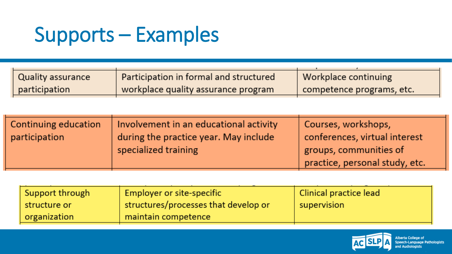## Supports – Examples

| Quality assurance | Participation in formal and structured | Workplace continuing      |
|-------------------|----------------------------------------|---------------------------|
| participation     | workplace quality assurance program    | competence programs, etc. |
|                   |                                        |                           |

| Continuing education | Involvement in an educational activity | Courses, workshops,            |
|----------------------|----------------------------------------|--------------------------------|
| participation        | during the practice year. May include  | conferences, virtual interest  |
|                      | specialized training                   | groups, communities of         |
|                      |                                        | practice, personal study, etc. |
|                      |                                        |                                |

| Support through | <b>Employer or site-specific</b>     | Clinical practice lead |
|-----------------|--------------------------------------|------------------------|
| structure or    | structures/processes that develop or | supervision            |
| organization    | maintain competence                  |                        |

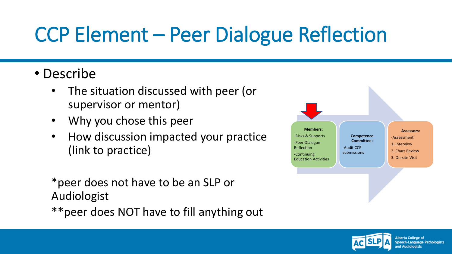## CCP Element – Peer Dialogue Reflection

- Describe
	- The situation discussed with peer (or supervisor or mentor)
	- Why you chose this peer
	- How discussion impacted your practice (link to practice)

\*peer does not have to be an SLP or Audiologist

\*\*peer does NOT have to fill anything out



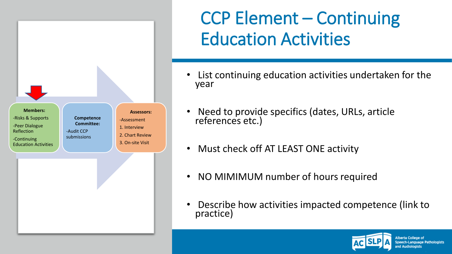

### CCP Element – Continuing Education Activities

- List continuing education activities undertaken for the year
- Need to provide specifics (dates, URLs, article references etc.)
- Must check off AT LEAST ONE activity
- NO MIMIMUM number of hours required
- Describe how activities impacted competence (link to practice)

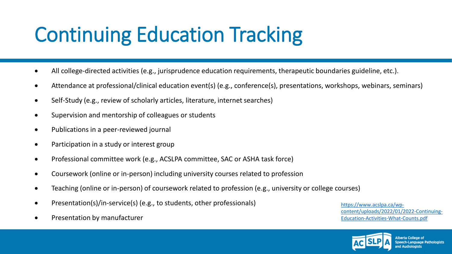## Continuing Education Tracking

- All college-directed activities (e.g., jurisprudence education requirements, therapeutic boundaries guideline, etc.).
- Attendance at professional/clinical education event(s) (e.g., conference(s), presentations, workshops, webinars, seminars)
- Self-Study (e.g., review of scholarly articles, literature, internet searches)
- Supervision and mentorship of colleagues or students
- Publications in a peer-reviewed journal
- Participation in a study or interest group
- Professional committee work (e.g., ACSLPA committee, SAC or ASHA task force)
- Coursework (online or in-person) including university courses related to profession
- Teaching (online or in-person) of coursework related to profession (e.g., university or college courses)
- Presentation(s)/in-service(s) (e.g., to students, other professionals)
- Presentation by manufacturer

https://www.acslpa.ca/wp[content/uploads/2022/01/2022-Continuing-](https://www.acslpa.ca/wp-content/uploads/2022/01/2022-Continuing-Education-Activities-What-Counts.pdf)Education-Activities-What-Counts.pdf

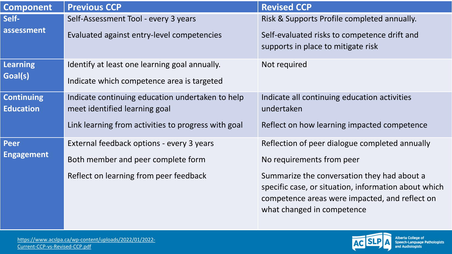| <b>Component</b>  | <b>Previous CCP</b>                                 | <b>Revised CCP</b>                                                                                                                                                                  |
|-------------------|-----------------------------------------------------|-------------------------------------------------------------------------------------------------------------------------------------------------------------------------------------|
| Self-             | Self-Assessment Tool - every 3 years                | Risk & Supports Profile completed annually.                                                                                                                                         |
| assessment        | Evaluated against entry-level competencies          | Self-evaluated risks to competence drift and<br>supports in place to mitigate risk                                                                                                  |
| <b>Learning</b>   | Identify at least one learning goal annually.       | Not required                                                                                                                                                                        |
| Goal(s)           | Indicate which competence area is targeted          |                                                                                                                                                                                     |
| <b>Continuing</b> | Indicate continuing education undertaken to help    | Indicate all continuing education activities                                                                                                                                        |
| <b>Education</b>  | meet identified learning goal                       | undertaken                                                                                                                                                                          |
|                   | Link learning from activities to progress with goal | Reflect on how learning impacted competence                                                                                                                                         |
| <b>Peer</b>       | External feedback options - every 3 years           | Reflection of peer dialogue completed annually                                                                                                                                      |
| <b>Engagement</b> | Both member and peer complete form                  | No requirements from peer                                                                                                                                                           |
|                   | Reflect on learning from peer feedback              | Summarize the conversation they had about a<br>specific case, or situation, information about which<br>competence areas were impacted, and reflect on<br>what changed in competence |

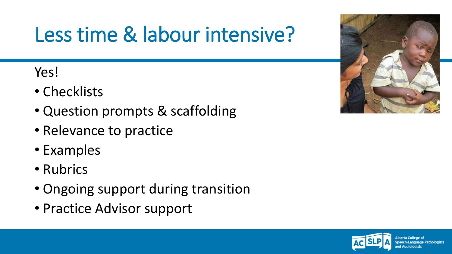# Less time & labour intensive?

#### Yes!

- Checklists
- Question prompts & scaffolding
- Relevance to practice
- Examples
- Rubrics
- Ongoing support during transition
- Practice Advisor support



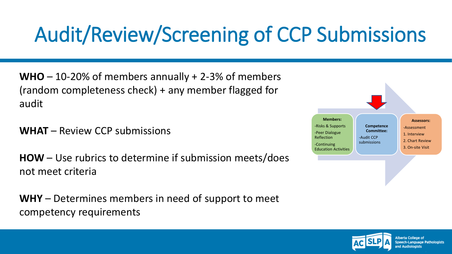## Audit/Review/Screening of CCP Submissions

**WHO** – 10-20% of members annually + 2-3% of members (random completeness check) + any member flagged for audit

**WHAT** – Review CCP submissions

**HOW** – Use rubrics to determine if submission meets/does not meet criteria

**WHY** – Determines members in need of support to meet competency requirements



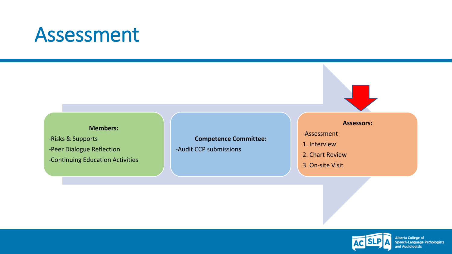### Assessment

#### **Members:**

-Risks & Supports -Peer Dialogue Reflection

-Continuing Education Activities

#### **Competence Committee:**

-Audit CCP submissions

#### **Assessors:**

-Assessment

- 1. Interview
- 2. Chart Review
- 3. On-site Visit

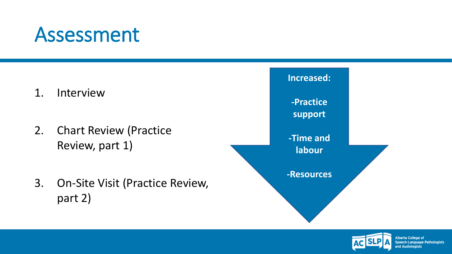### Assessment

- 1. Interview
- 2. Chart Review (Practice Review, part 1)
- 3. On-Site Visit (Practice Review, part 2)



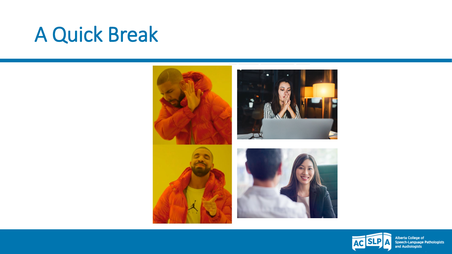### A Quick Break



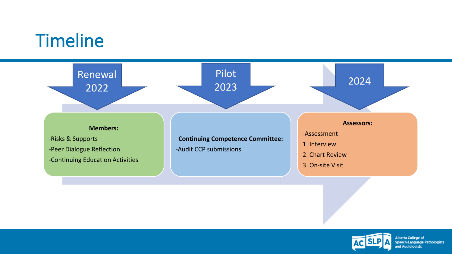#### **Timeline**



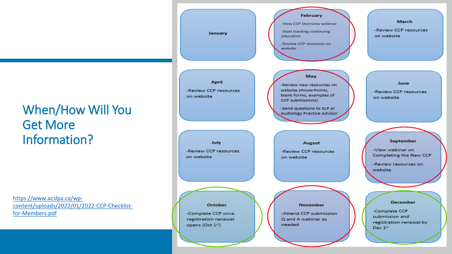#### When/How Will You Get More Information?

https://www.acslpa.ca/wp[content/uploads/2022/01/2022-CCP-Checklist](https://www.acslpa.ca/wp-content/uploads/2022/01/2022-CCP-Checklist-for-Members.pdf)for-Members.pdf

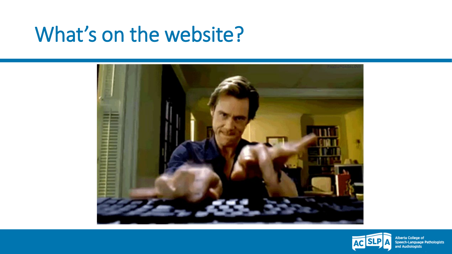### What's on the website?